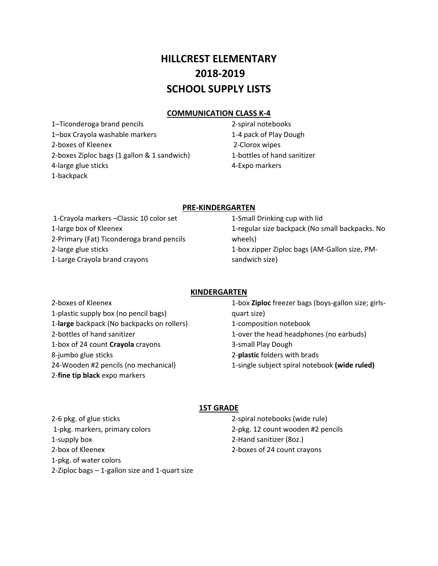# **HILLCREST ELEMENTARY ‐2019 SCHOOL SUPPLY LISTS**

# **COMMUNICATION CLASS K‐4**

1–Ticonderoga brand pencils 1–box Crayola washable markers ‐boxes of Kleenex ‐boxes Ziploc bags (1 gallon & 1 sandwich) ‐large glue sticks ‐backpack

‐spiral notebooks ‐4 pack of Play Dough ‐Clorox wipes ‐bottles of hand sanitizer ‐Expo markers

## **PRE‐KINDERGARTEN**

‐Crayola markers –Classic 10 color set ‐large box of Kleenex ‐Primary (Fat) Ticonderoga brand pencils ‐large glue sticks ‐Large Crayola brand crayons

‐Small Drinking cup with lid ‐regular size backpack (No small backpacks. No wheels) ‐box zipper Ziploc bags (AM‐Gallon size, PM‐ sandwich size)

## **KINDERGARTEN**

‐boxes of Kleenex ‐plastic supply box (no pencil bags) ‐**large** backpack (No backpacks on rollers) ‐bottles of hand sanitizer ‐box of 24 count **Crayola** crayons ‐jumbo glue sticks ‐Wooden #2 pencils (no mechanical) ‐**fine tip black** expo markers

‐box **Ziploc** freezer bags (boys‐gallon size; girls‐ quart size) ‐composition notebook ‐over the head headphones (no earbuds) ‐small Play Dough ‐**plastic** folders with brads ‐single subject spiral notebook **(wide ruled)**

## **1ST GRADE**

‐6 pkg. of glue sticks ‐pkg. markers, primary colors ‐supply box ‐box of Kleenex ‐pkg. of water colors ‐Ziploc bags – 1‐gallon size and 1‐quart size ‐spiral notebooks (wide rule) ‐pkg. 12 count wooden #2 pencils ‐Hand sanitizer (8oz.) ‐boxes of 24 count crayons